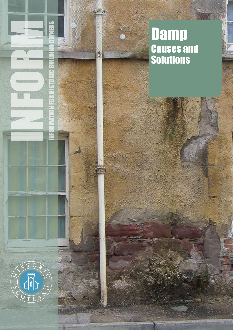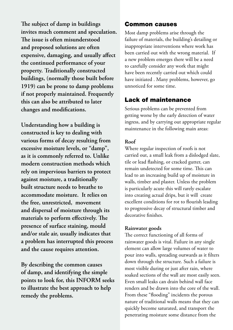**The subject of damp in buildings invites much comment and speculation. The issue is often misunderstood and proposed solutions are often expensive, damaging, and usually affect the continued performance of your property. Traditionally constructed buildings, (normally those built before 1919) can be prone to damp problems if not properly maintained. Frequently this can also be attributed to later changes and modifications.** 

**Understanding how a building is constructed is key to dealing with various forms of decay resulting from excessive moisture levels, or "damp", as it is commonly referred to. Unlike modern construction methods which rely on impervious barriers to protect against moisture, a traditionally built structure needs to breathe to accommodate moisture. It relies on the free, unrestricted, movement and dispersal of moisture through its materials to perform effectively. The presence of surface staining, mould and/or stale air, usually indicates that a problem has interrupted this process and the cause requires attention.** 

**By describing the common causes of damp, and identifying the simple points to look for, this INFORM seeks to illustrate the best approach to help remedy the problems.** 

#### Common causes

Most damp problems arise through the failure of materials, the building's detailing or inappropriate interventions where work has been carried out with the wrong material. If a new problem emerges there will be a need to carefully consider any work that might have been recently carried out which could have initiated . Many problems, however, go unnoticed for some time.

## Lack of maintenance

Serious problems can be prevented from getting worse by the early detection of water ingress, and by carrying out appropriate regular maintenance in the following main areas:

#### **Roof**

Where regular inspection of roofs is not carried out, a small leak from a dislodged slate, tile or lead flashing, or cracked gutter, can remain undetected for some time. This can lead to an increasing build up of moisture in walls, timber and plaster. Unless the problem is particularly acute this will rarely escalate into creating actual drips, but it will create excellent conditions for rot to flourish leading to progressive decay of structural timber and decorative finishes.

#### **Rainwater goods**

The correct functioning of all forms of rainwater goods is vital. Failure in any single element can allow large volumes of water to pour into walls, spreading outwards as it filters down through the structure. Such a failure is most visible during or just after rain, where soaked sections of the wall are most easily seen. Even small leaks can drain behind wall face renders and be drawn into the core of the wall. From these "flooding" incidents the porous nature of traditional walls means that they can quickly become saturated, and transport the penetrating moisture some distance from the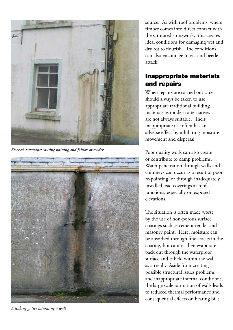

*Blocked downpipes causing staining and failure of render*



*A leaking gutter saturating a wall*

source. As with roof problems, where timber comes into direct contact with the saturated stonework, this creates ideal conditions for damaging wet and dry rot to flourish. The conditions can also encourage insect and beetle attack.

# Inappropriate materials and repairs

When repairs are carried out care should always be taken to use appropriate traditional building materials as modern alternatives are not always suitable. Their inappropriate use often has an adverse effect by inhibiting moisture movement and dispersal.

Poor quality work can also create or contribute to damp problems. Water penetration through walls and chimneys can occur as a result of poor re-pointing, or through inadequately installed lead coverings at roof junctions, especially on exposed elevations.

The situation is often made worse by the use of non-porous surface coatings such as cement render and masonry paint. Here, moisture can be absorbed through fine cracks in the coating, but cannot then evaporate back out through the waterproof surface and is held within the wall as a result. Aside from creating possible structural issues problems and inappropriate internal conditions, the large scale saturation of walls leads to reduced thermal performance and consequential effects on heating bills.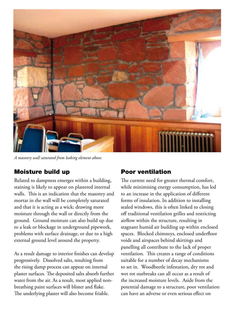

*A masonry wall saturated from leaking element above.*

### Moisture build up

Related to dampness emerges within a building, staining is likely to appear on plastered internal walls. This is an indication that the masonry and mortar in the wall will be completely saturated and that it is acting as a wick; drawing more moisture through the wall or directly from the ground. Ground moisture can also build up due to a leak or blockage in underground pipework, problems with surface drainage, or due to a high external ground level around the property.

As a result damage to interior finishes can develop progressively. Dissolved salts, resulting from the rising damp process can appear on internal plaster surfaces. The deposited salts absorb further water from the air. As a result, most applied nonbreathing paint surfaces will blister and flake. The underlying plaster will also become friable.

### Poor ventilation

The current need for greater thermal comfort, while minimising energy consumption, has led to an increase in the application of different forms of insulation. In addition to installing sealed windows, this is often linked to closing off traditional ventilation grilles and restricting airflow within the structure, resulting in stagnant humid air building up within enclosed spaces. Blocked chimneys, enclosed underfloor voids and airspaces behind skirtings and panelling all contribute to the lack of proper ventilation. This creates a range of conditions suitable for a number of decay mechanisms to set in. Woodbeetle infestation, dry rot and wet rot outbreaks can all occur as a result of the increased moisture levels. Aside from the potential damage to a structure, poor ventilation can have an adverse or even serious effect on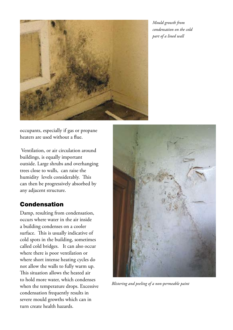

*Mould growth from condensation on the cold part of a lined wall*

occupants, especially if gas or propane heaters are used without a flue.

 Ventilation, or air circulation around buildings, is equally important outside. Large shrubs and overhanging trees close to walls, can raise the humidity levels considerably. This can then be progressively absorbed by any adjacent structure.

## Condensation

Damp, resulting from condensation, occurs where water in the air inside a building condenses on a cooler surface. This is usually indicative of cold spots in the building, sometimes called cold bridges. It can also occur where there is poor ventilation or where short intense heating cycles do not allow the walls to fully warm up. This situation allows the heated air to hold more water, which condenses when the temperature drops. Excessive condensation frequently results in severe mould growths which can in turn create health hazards.



*Blistering and peeling of a non-permeable paint*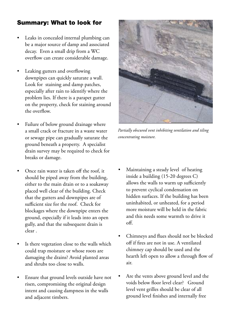# Summary: What to look for

- Leaks in concealed internal plumbing can be a major source of damp and associated decay. Even a small drip from a WC overflow can create considerable damage.
- Leaking gutters and overflowing downpipes can quickly saturate a wall. Look for staining and damp patches, especially after rain to identify where the problem lies. If there is a parapet gutter on the property, check for staining around the overflow.
- Failure of below ground drainage where a small crack or fracture in a waste water or sewage pipe can gradually saturate the ground beneath a property. A specialist drain survey may be required to check for breaks or damage.
- Once rain water is taken off the roof, it should be piped away from the building, either to the main drain or to a soakaway placed well clear of the building. Check that the gutters and downpipes are of sufficient size for the roof. Check for blockages where the downpipe enters the ground, especially if it leads into an open gully, and that the subsequent drain is clear .
- Is there vegetation close to the walls which could trap moisture or whose roots are damaging the drains? Avoid planted areas and shrubs too close to walls.
- Ensure that ground levels outside have not risen, compromising the original design intent and causing dampness in the walls and adjacent timbers.



*Partially obscured vent inhibiting ventilation and tiling concentrating moisture.*

- Maintaining a steady level of heating inside a building (15-20 degrees C) allows the walls to warm up sufficiently to prevent cyclical condensation on hidden surfaces. If the building has been uninhabited, or unheated, for a period more moisture will be held in the fabric and this needs some warmth to drive it  $\alpha$
- Chimneys and flues should not be blocked off if fires are not in use. A ventilated chimney cap should be used and the hearth left open to allow a through flow of air.
- Are the vents above ground level and the voids below floor level clear? Ground level vent grilles should be clear of all ground level finishes and internally free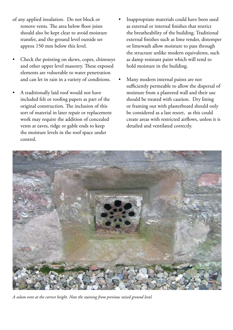- of any applied insulation. Do not block or remove vents. The area below floor joists should also be kept clear to avoid moisture transfer, and the ground level outside set approx 150 mm below this level.
- Check the pointing on skews, copes, chimneys and other upper level masonry. These exposed elements are vulnerable to water penetration and can let in rain in a variety of conditions.
- A traditionally laid roof would not have included felt or roofing papers as part of the original construction. The inclusion of this sort of material in later repair or replacement work may require the addition of concealed vents at eaves, ridge or gable ends to keep the moisture levels in the roof space under control.
- Inappropriate materials could have been used as external or internal finishes that restrict the breatheability of the building. Traditional external finishes such as lime render, distemper or limewash allow moisture to pass through the structure unlike modern equivalents, such as damp resistant paint which will tend to hold moisture in the building.
- Many modern internal paints are not sufficiently permeable to allow the dispersal of moisture from a plastered wall and their use should be treated with caution. Dry lining or framing out with plasterboard should only be considered as a last resort, as this could create areas with restricted airflows, unless it is detailed and ventilated correctly.



*A solum vent at the correct height. Note the staining from previous raised ground level.*